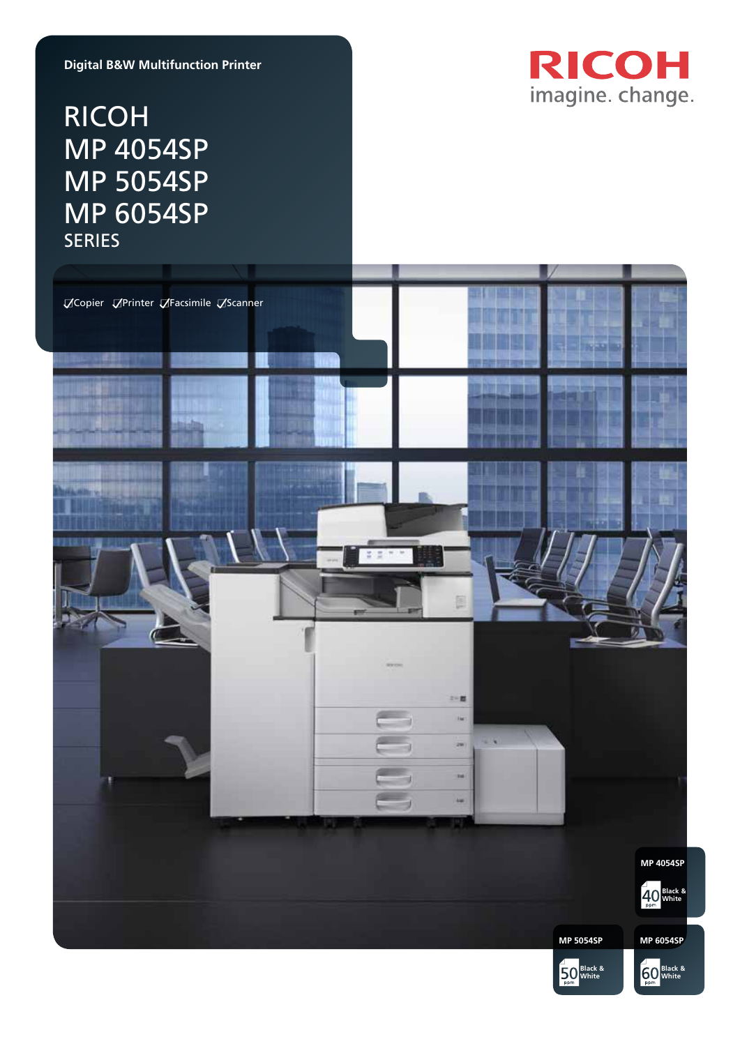### **Digital B&W Multifunction Printer**

# RICOH MP 4054SP MP 5054SP MP 6054SP SERIES



**50** White

**50** White **60** White **by Black &** 

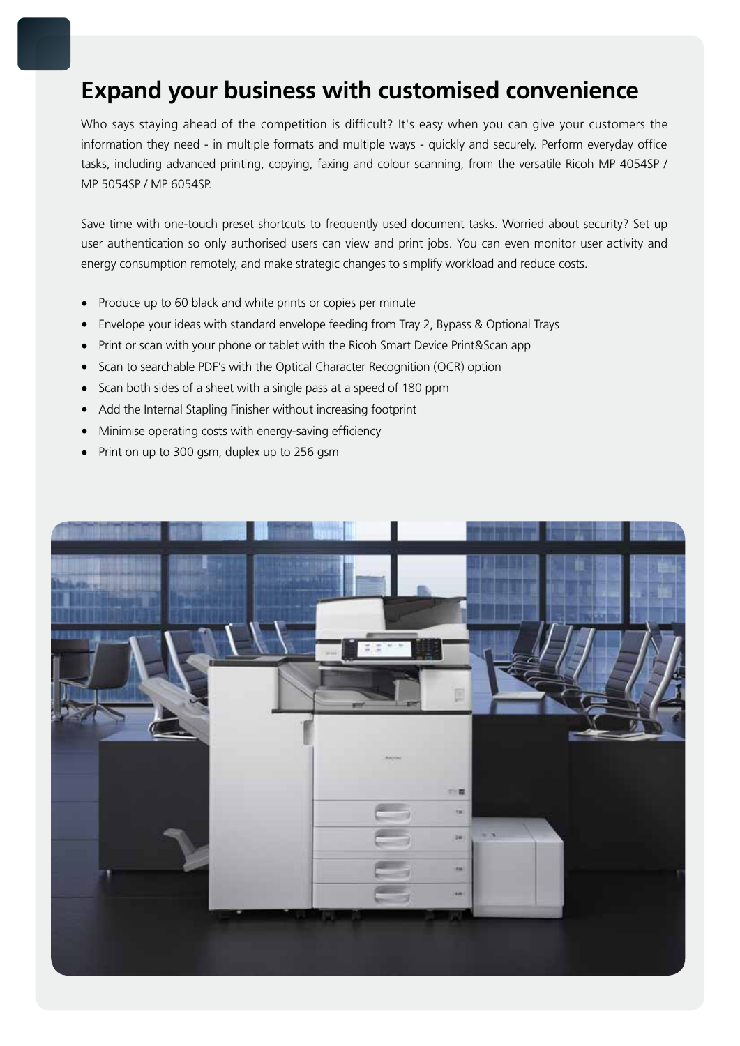### **Expand your business with customised convenience**

Who says staying ahead of the competition is difficult? It's easy when you can give your customers the information they need - in multiple formats and multiple ways - quickly and securely. Perform everyday office tasks, including advanced printing, copying, faxing and colour scanning, from the versatile Ricoh MP 4054SP / MP 5054SP / MP 6054SP.

Save time with one-touch preset shortcuts to frequently used document tasks. Worried about security? Set up user authentication so only authorised users can view and print jobs. You can even monitor user activity and energy consumption remotely, and make strategic changes to simplify workload and reduce costs.

- Produce up to 60 black and white prints or copies per minute
- Envelope your ideas with standard envelope feeding from Tray 2, Bypass & Optional Trays
- Print or scan with your phone or tablet with the Ricoh Smart Device Print&Scan app
- Scan to searchable PDF's with the Optical Character Recognition (OCR) option
- Scan both sides of a sheet with a single pass at a speed of 180 ppm
- Add the Internal Stapling Finisher without increasing footprint
- Minimise operating costs with energy-saving efficiency
- Print on up to 300 gsm, duplex up to 256 gsm

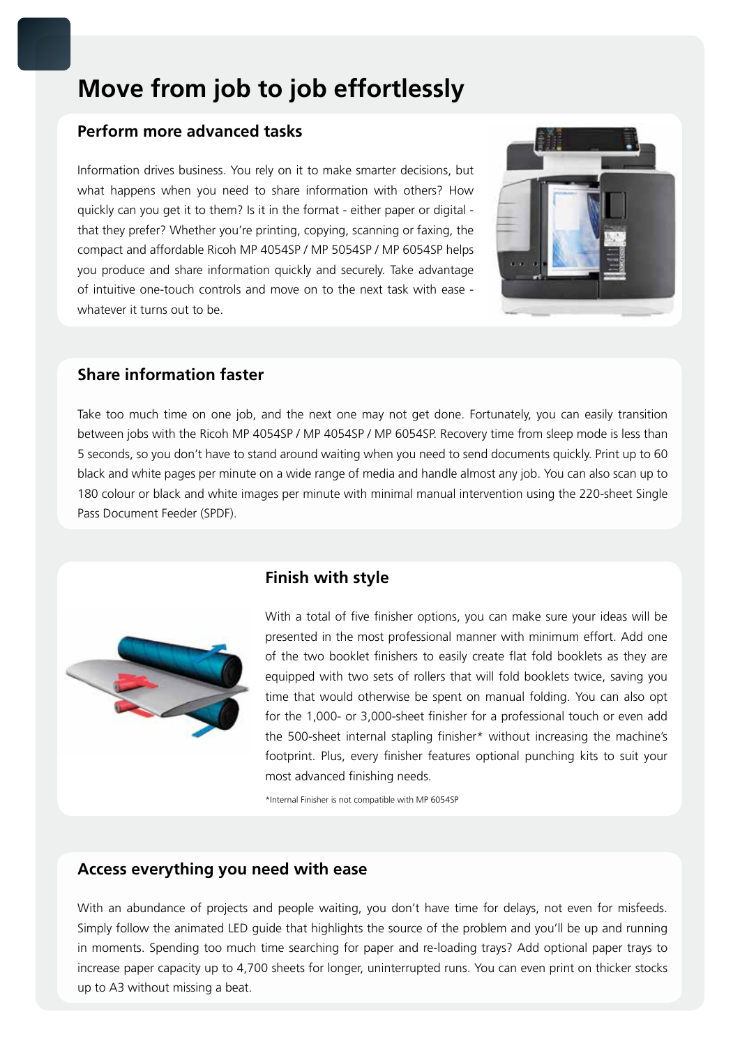# **Move from job to job effortlessly**

### **Perform more advanced tasks**

Information drives business. You rely on it to make smarter decisions, but what happens when you need to share information with others? How quickly can you get it to them? Is it in the format - either paper or digital that they prefer? Whether you're printing, copying, scanning or faxing, the compact and affordable Ricoh MP 4054SP / MP 5054SP / MP 6054SP helps you produce and share information quickly and securely. Take advantage of intuitive one-touch controls and move on to the next task with ease whatever it turns out to be.



### **Share information faster**

Take too much time on one job, and the next one may not get done. Fortunately, you can easily transition between jobs with the Ricoh MP 4054SP / MP 4054SP / MP 6054SP. Recovery time from sleep mode is less than 5 seconds, so you don't have to stand around waiting when you need to send documents quickly. Print up to 60 black and white pages per minute on a wide range of media and handle almost any job. You can also scan up to 180 colour or black and white images per minute with minimal manual intervention using the 220-sheet Single Pass Document Feeder (SPDF).



### **Finish with style**

With a total of five finisher options, you can make sure your ideas will be presented in the most professional manner with minimum effort. Add one of the two booklet finishers to easily create flat fold booklets as they are equipped with two sets of rollers that will fold booklets twice, saving you time that would otherwise be spent on manual folding. You can also opt for the 1,000- or 3,000-sheet finisher for a professional touch or even add the 500-sheet internal stapling finisher\* without increasing the machine's footprint. Plus, every finisher features optional punching kits to suit your most advanced finishing needs.

\*Internal Finisher is not compatible with MP 6054SP

#### **Access everything you need with ease**

With an abundance of projects and people waiting, you don't have time for delays, not even for misfeeds. Simply follow the animated LED guide that highlights the source of the problem and you'll be up and running in moments. Spending too much time searching for paper and re-loading trays? Add optional paper trays to increase paper capacity up to 4,700 sheets for longer, uninterrupted runs. You can even print on thicker stocks up to A3 without missing a beat.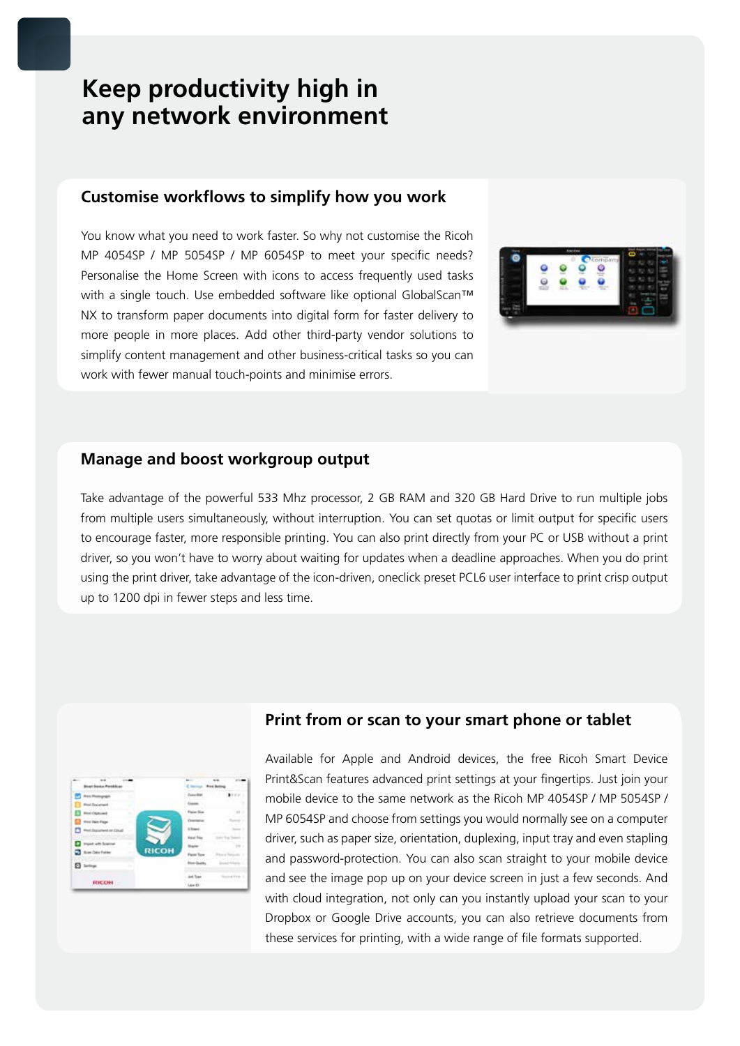# **Keep productivity high in any network environment**

#### **Customise workflows to simplify how you work**

You know what you need to work faster. So why not customise the Ricoh MP 4054SP / MP 5054SP / MP 6054SP to meet your specific needs? Personalise the Home Screen with icons to access frequently used tasks with a single touch. Use embedded software like optional GlobalScan™ NX to transform paper documents into digital form for faster delivery to more people in more places. Add other third-party vendor solutions to simplify content management and other business-critical tasks so you can work with fewer manual touch-points and minimise errors.



#### **Manage and boost workgroup output**

Take advantage of the powerful 533 Mhz processor, 2 GB RAM and 320 GB Hard Drive to run multiple jobs from multiple users simultaneously, without interruption. You can set quotas or limit output for specific users to encourage faster, more responsible printing. You can also print directly from your PC or USB without a print driver, so you won't have to worry about waiting for updates when a deadline approaches. When you do print using the print driver, take advantage of the icon-driven, oneclick preset PCL6 user interface to print crisp output up to 1200 dpi in fewer steps and less time.



### **Print from or scan to your smart phone or tablet**

Available for Apple and Android devices, the free Ricoh Smart Device Print&Scan features advanced print settings at your fingertips. Just join your mobile device to the same network as the Ricoh MP 4054SP / MP 5054SP / MP 6054SP and choose from settings you would normally see on a computer driver, such as paper size, orientation, duplexing, input tray and even stapling and password-protection. You can also scan straight to your mobile device and see the image pop up on your device screen in just a few seconds. And with cloud integration, not only can you instantly upload your scan to your Dropbox or Google Drive accounts, you can also retrieve documents from these services for printing, with a wide range of file formats supported.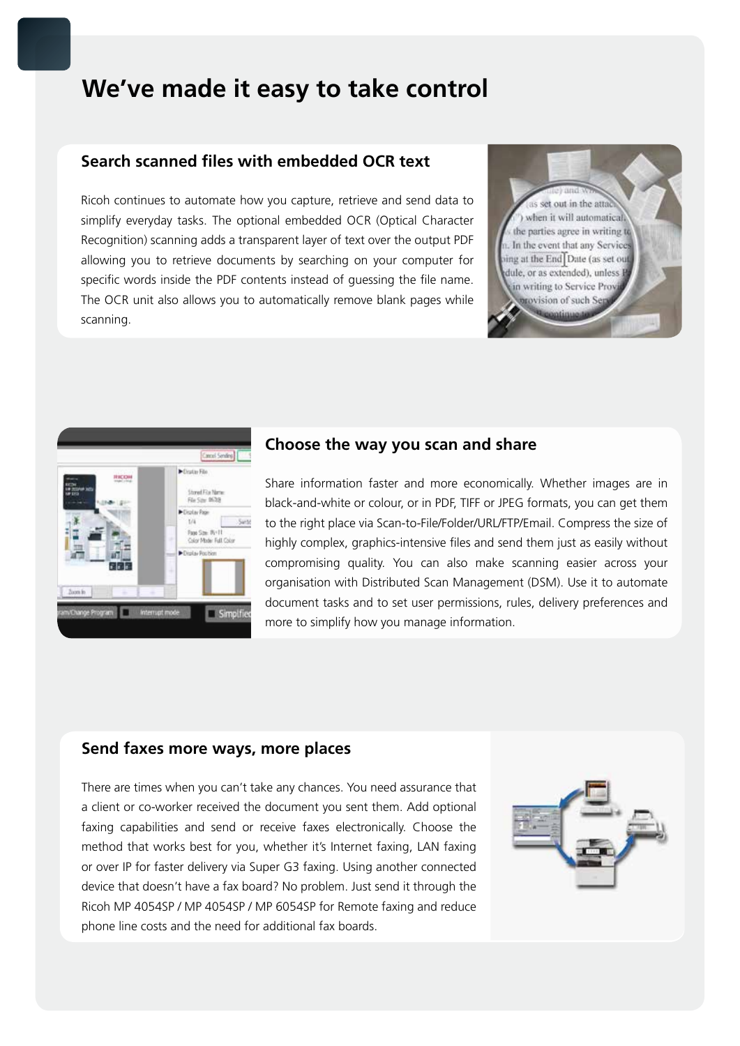### **We've made it easy to take control**

### **Search scanned files with embedded OCR text**

Ricoh continues to automate how you capture, retrieve and send data to simplify everyday tasks. The optional embedded OCR (Optical Character Recognition) scanning adds a transparent layer of text over the output PDF allowing you to retrieve documents by searching on your computer for specific words inside the PDF contents instead of guessing the file name. The OCR unit also allows you to automatically remove blank pages while scanning.





#### **Choose the way you scan and share**

Share information faster and more economically. Whether images are in black-and-white or colour, or in PDF, TIFF or JPEG formats, you can get them to the right place via Scan-to-File/Folder/URL/FTP/Email. Compress the size of highly complex, graphics-intensive files and send them just as easily without compromising quality. You can also make scanning easier across your organisation with Distributed Scan Management (DSM). Use it to automate document tasks and to set user permissions, rules, delivery preferences and more to simplify how you manage information.

#### **Send faxes more ways, more places**

There are times when you can't take any chances. You need assurance that a client or co-worker received the document you sent them. Add optional faxing capabilities and send or receive faxes electronically. Choose the method that works best for you, whether it's Internet faxing, LAN faxing or over IP for faster delivery via Super G3 faxing. Using another connected device that doesn't have a fax board? No problem. Just send it through the Ricoh MP 4054SP / MP 4054SP / MP 6054SP for Remote faxing and reduce phone line costs and the need for additional fax boards.

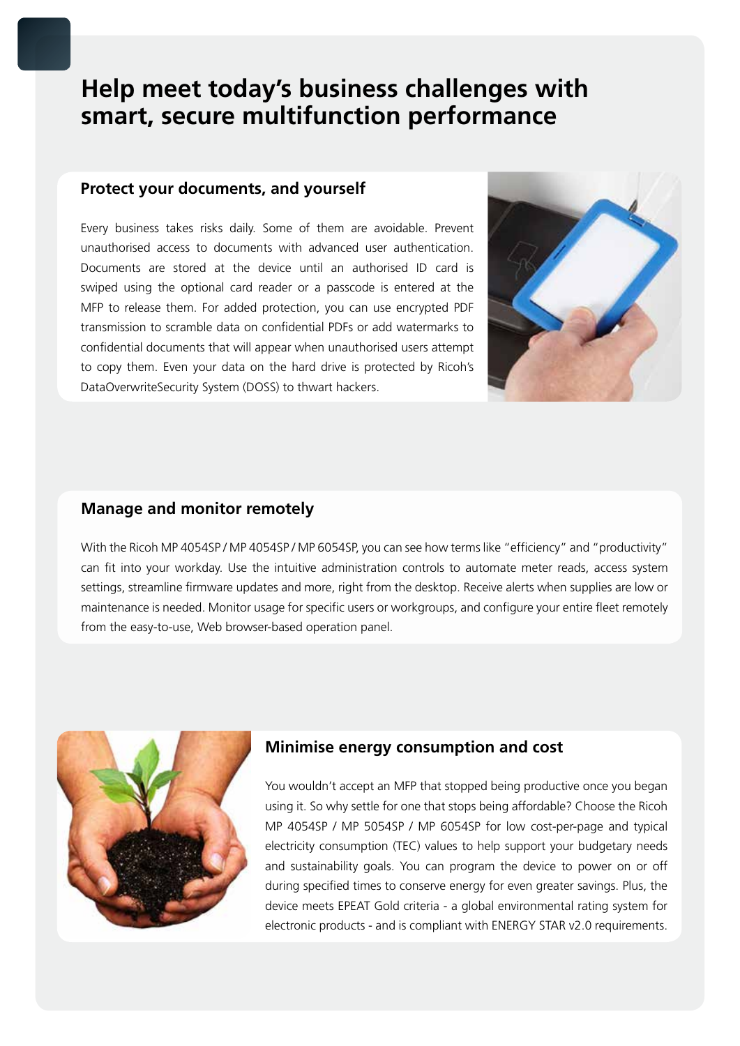# **Help meet today's business challenges with smart, secure multifunction performance**

### **Protect your documents, and yourself**

Every business takes risks daily. Some of them are avoidable. Prevent unauthorised access to documents with advanced user authentication. Documents are stored at the device until an authorised ID card is swiped using the optional card reader or a passcode is entered at the MFP to release them. For added protection, you can use encrypted PDF transmission to scramble data on confidential PDFs or add watermarks to confidential documents that will appear when unauthorised users attempt to copy them. Even your data on the hard drive is protected by Ricoh's DataOverwriteSecurity System (DOSS) to thwart hackers.



### **Manage and monitor remotely**

With the Ricoh MP 4054SP / MP 4054SP / MP 6054SP, you can see how terms like "efficiency" and "productivity" can fit into your workday. Use the intuitive administration controls to automate meter reads, access system settings, streamline firmware updates and more, right from the desktop. Receive alerts when supplies are low or maintenance is needed. Monitor usage for specific users or workgroups, and configure your entire fleet remotely from the easy-to-use, Web browser-based operation panel.



### **Minimise energy consumption and cost**

You wouldn't accept an MFP that stopped being productive once you began using it. So why settle for one that stops being affordable? Choose the Ricoh MP 4054SP / MP 5054SP / MP 6054SP for low cost-per-page and typical electricity consumption (TEC) values to help support your budgetary needs and sustainability goals. You can program the device to power on or off during specified times to conserve energy for even greater savings. Plus, the device meets EPEAT Gold criteria - a global environmental rating system for electronic products - and is compliant with ENERGY STAR v2.0 requirements.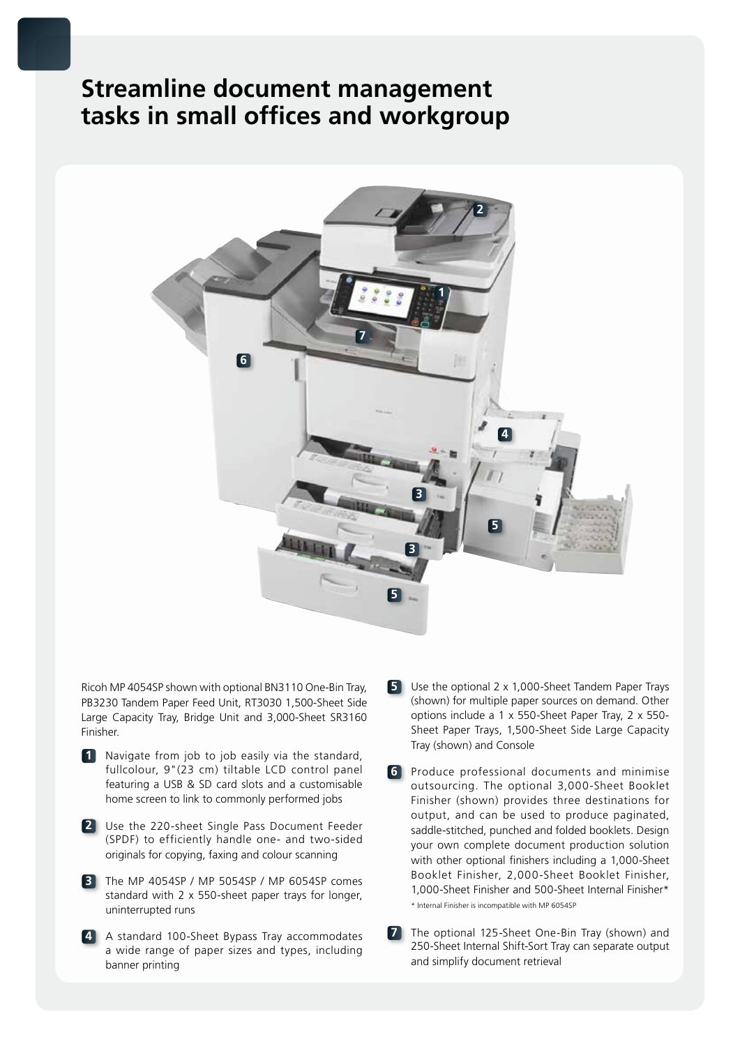### **Streamline document management tasks in small offices and workgroup**



Ricoh MP 4054SP shown with optional BN3110 One-Bin Tray, PB3230 Tandem Paper Feed Unit, RT3030 1,500-Sheet Side Large Capacity Tray, Bridge Unit and 3,000-Sheet SR3160 Finisher.

- **1** Navigate from job to job easily via the standard, fullcolour, 9"(23 cm) tiltable LCD control panel featuring a USB & SD card slots and a customisable home screen to link to commonly performed jobs
- **2** Use the 220-sheet Single Pass Document Feeder (SPDF) to efficiently handle one- and two-sided originals for copying, faxing and colour scanning
- **3** The MP 4054SP / MP 5054SP / MP 6054SP comes standard with 2 x 550-sheet paper trays for longer, uninterrupted runs
- **4** A standard 100-Sheet Bypass Tray accommodates a wide range of paper sizes and types, including banner printing
- **5** Use the optional 2 x 1,000-Sheet Tandem Paper Trays (shown) for multiple paper sources on demand. Other options include a 1 x 550-Sheet Paper Tray, 2 x 550- Sheet Paper Trays, 1,500-Sheet Side Large Capacity Tray (shown) and Console
- **6** Produce professional documents and minimise outsourcing. The optional 3,000-Sheet Booklet Finisher (shown) provides three destinations for output, and can be used to produce paginated, saddle-stitched, punched and folded booklets. Design your own complete document production solution with other optional finishers including a 1,000-Sheet Booklet Finisher, 2,000-Sheet Booklet Finisher, 1,000-Sheet Finisher and 500-Sheet Internal Finisher\* \* Internal Finisher is incompatible with MP 6054SP
- **7** The optional 125-Sheet One-Bin Tray (shown) and 250-Sheet Internal Shift-Sort Tray can separate output and simplify document retrieval